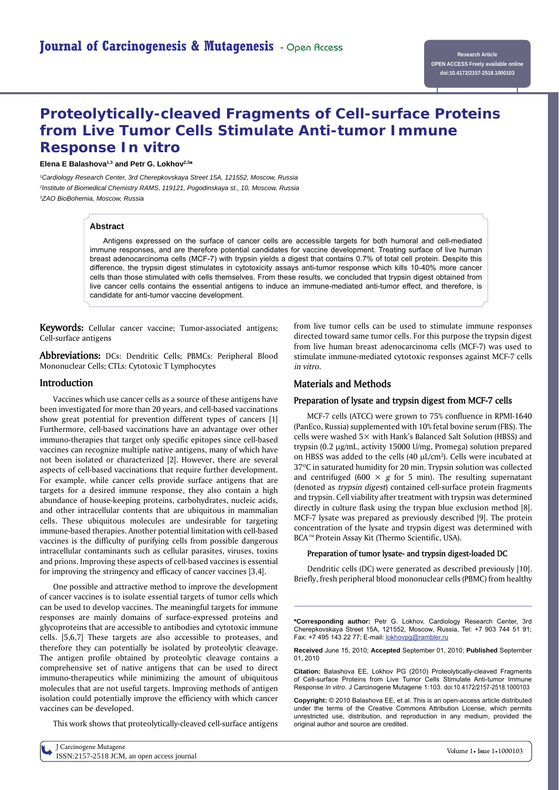# **Proteolytically-cleaved Fragments of Cell-surface Proteins from Live Tumor Cells Stimulate Anti-tumor Immune Response** *In vitro*

#### Elena E Balashova<sup>1,3</sup> and Petr G. Lokhov<sup>2,3\*</sup>

*1Cardiology Research Center, 3rd Cherepkovskaya Street 15A, 121552, Moscow, Russia 2 Institute of Biomedical Chemistry RAMS, 119121, Pogodinskaya st., 10, Moscow, Russia 3ZAO BioBohemia, Moscow, Russia*

#### **Abstract**

Antigens expressed on the surface of cancer cells are accessible targets for both humoral and cell-mediated immune responses, and are therefore potential candidates for vaccine development. Treating surface of live human breast adenocarcinoma cells (MCF-7) with trypsin yields a digest that contains 0.7% of total cell protein. Despite this difference, the trypsin digest stimulates in cytotoxicity assays anti-tumor response which kills 10-40% more cancer cells than those stimulated with cells themselves. From these results, we concluded that trypsin digest obtained from live cancer cells contains the essential antigens to induce an immune-mediated anti-tumor effect, and therefore, is candidate for anti-tumor vaccine development.

**Keywords:** Cellular cancer vaccine; Tumor-associated antigens; Cell-surface antigens

**Abbreviations:** DCs: Dendritic Cells; PBMCs: Peripheral Blood Mononuclear Cells; CTLs: Cytotoxic T Lymphocytes

## **Introduction**

Vaccines which use cancer cells as a source of these antigens have been investigated for more than 20 years, and cell-based vaccinations show great potential for prevention different types of cancers [1] Furthermore, cell-based vaccinations have an advantage over other immuno-therapies that target only specific epitopes since cell-based vaccines can recognize multiple native antigens, many of which have not been isolated or characterized [2]. However, there are several aspects of cell-based vaccinations that require further development. For example, while cancer cells provide surface antigens that are targets for a desired immune response, they also contain a high abundance of house-keeping proteins, carbohydrates, nucleic acids, and other intracellular contents that are ubiquitous in mammalian cells. These ubiquitous molecules are undesirable for targeting immune-based therapies. Another potential limitation with cell-based vaccines is the difficulty of purifying cells from possible dangerous intracellular contaminants such as cellular parasites, viruses, toxins and prions. Improving these aspects of cell-based vaccines is essential for improving the stringency and efficacy of cancer vaccines [3,4].

One possible and attractive method to improve the development of cancer vaccines is to isolate essential targets of tumor cells which can be used to develop vaccines. The meaningful targets for immune responses are mainly domains of surface-expressed proteins and glycoproteins that are accessible to antibodies and cytotoxic immune cells. [5,6,7] These targets are also accessible to proteases, and therefore they can potentially be isolated by proteolytic cleavage. The antigen profile obtained by proteolytic cleavage contains a comprehensive set of native antigens that can be used to direct immuno-therapeutics while minimizing the amount of ubiquitous molecules that are not useful targets. Improving methods of antigen isolation could potentially improve the efficiency with which cancer vaccines can be developed.

This work shows that proteolytically-cleaved cell-surface antigens

from live tumor cells can be used to stimulate immune responses directed toward same tumor cells. For this purpose the trypsin digest from live human breast adenocarcinoma cells (MCF-7) was used to stimulate immune-mediated cytotoxic responses against MCF-7 cells *in vitro*.

## **Materials and Methods**

## **Preparation of lysate and trypsin digest from MCF-7 cells**

MCF-7 cells (ATCC) were grown to 75% confluence in RPMI-1640 (PanEco, Russia) supplemented with 10% fetal bovine serum (FBS). The cells were washed 5× with Hank's Balanced Salt Solution (HBSS) and trypsin (0.2 µg/mL, activity 15000 U/mg, Promega) solution prepared on HBSS was added to the cells (40  $\mu$ L/cm<sup>2</sup>). Cells were incubated at 37ºC in saturated humidity for 20 min. Trypsin solution was collected and centrifuged (600  $\times$  *g* for 5 min). The resulting supernatant (denoted as *trypsin digest*) contained cell-surface protein fragments and trypsin. Cell viability after treatment with trypsin was determined directly in culture flask using the trypan blue exclusion method [8]. MCF-7 lysate was prepared as previously described [9]. The protein concentration of the lysate and trypsin digest was determined with BCA™ Protein Assay Kit (Thermo Scientific, USA).

#### **Preparation of tumor lysate- and trypsin digest-loaded DC**

Dendritic cells (DC) were generated as described previously [10]. Briefly, fresh peripheral blood mononuclear cells (PBMC) from healthy

**\*Corresponding author:** Petr G. Lokhov, Cardiology Research Center, 3rd Cherepkovskaya Street 15A, 121552, Moscow, Russia, Tel: +7 903 744 51 91; Fax: +7 495 143 22 77; E-mail: lokhovpg@rambler.ru

**Received** June 15, 2010; **Accepted** September 01, 2010; **Published** September 01, 2010

**Citation:** Balashova EE, Lokhov PG (2010) Proteolytically-cleaved Fragments of Cell-surface Proteins from Live Tumor Cells Stimulate Anti-tumor Immune Response *In vitro*. J Carcinogene Mutagene 1:103. doi:10.4172/2157-2518.1000103

**Copyright:** © 2010 Balashova EE, et al. This is an open-access article distributed under the terms of the Creative Commons Attribution License, which permits unrestricted use, distribution, and reproduction in any medium, provided the original author and source are credited.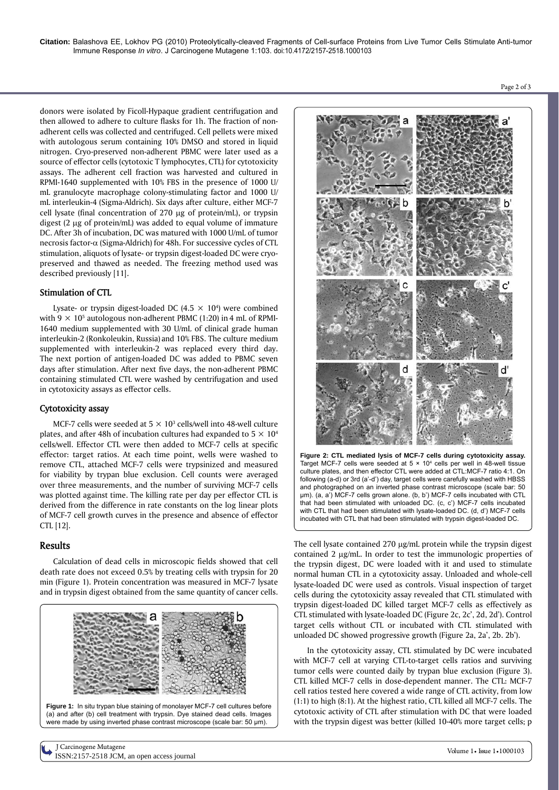donors were isolated by Ficoll-Hypaque gradient centrifugation and then allowed to adhere to culture flasks for 1h. The fraction of nonadherent cells was collected and centrifuged. Cell pellets were mixed with autologous serum containing 10% DMSO and stored in liquid nitrogen. Cryo-preserved non-adherent PBMC were later used as a source of effector cells (cytotoxic T lymphocytes, CTL) for cytotoxicity assays. The adherent cell fraction was harvested and cultured in RPMI-1640 supplemented with 10% FBS in the presence of 1000 U/ mL granulocyte macrophage colony-stimulating factor and 1000 U/ mL interleukin-4 (Sigma-Aldrich). Six days after culture, either MCF-7 cell lysate (final concentration of 270 µg of protein/mL), or trypsin digest  $(2 \mu g)$  of protein/mL) was added to equal volume of immature DC. After 3h of incubation, DC was matured with 1000 U/mL of tumor necrosis factor- $\alpha$  (Sigma-Aldrich) for 48h. For successive cycles of CTL stimulation, aliquots of lysate- or trypsin digest-loaded DC were cryopreserved and thawed as needed. The freezing method used was described previously [11]*.*

## **Stimulation of CTL**

Lysate- or trypsin digest-loaded DC  $(4.5 \times 10^4)$  were combined with  $9 \times 10^5$  autologous non-adherent PBMC (1:20) in 4 mL of RPMI-1640 medium supplemented with 30 U/mL of clinical grade human interleukin-2 (Ronkoleukin, Russia) and 10% FBS. The culture medium supplemented with interleukin-2 was replaced every third day. The next portion of antigen-loaded DC was added to PBMC seven days after stimulation. After next five days, the non-adherent PBMC containing stimulated CTL were washed by centrifugation and used in cytotoxicity assays as effector cells.

## **Cytotoxicity assay**

MCF-7 cells were seeded at  $5 \times 10^3$  cells/well into 48-well culture plates, and after 48h of incubation cultures had expanded to  $5 \times 10^4$ cells/well. Effector CTL were then added to MCF-7 cells at specific effector: target ratios. At each time point, wells were washed to remove CTL, attached MCF-7 cells were trypsinized and measured for viability by trypan blue exclusion. Cell counts were averaged over three measurements, and the number of surviving MCF-7 cells was plotted against time. The killing rate per day per effector CTL is derived from the difference in rate constants on the log linear plots of MCF-7 cell growth curves in the presence and absence of effector CTL [12].

# **Results**

Calculation of dead cells in microscopic fields showed that cell death rate does not exceed 0.5% by treating cells with trypsin for 20 min (Figure 1). Protein concentration was measured in MCF-7 lysate and in trypsin digest obtained from the same quantity of cancer cells.





Page 2 of 3

**Figure 2: CTL mediated lysis of MCF-7 cells during cytotoxicity assay.**  Target MCF-7 cells were seeded at  $5 \times 10^4$  cells per well in 48-well tissue culture plates, and then effector CTL were added at CTL:MCF-7 ratio 4:1. On following (a-d) or 3rd (a'-d') day, target cells were carefully washed with HBSS and photographed on an inverted phase contrast microscope (scale bar: 50 μm). (a, a') MCF-7 cells grown alone. (b, b') MCF-7 cells incubated with CTL that had been stimulated with unloaded DC. (c, c') MCF-7 cells incubated with CTL that had been stimulated with lysate-loaded DC. (d, d') MCF-7 cells incubated with CTL that had been stimulated with trypsin digest-loaded DC.

The cell lysate contained  $270 \mu g/mL$  protein while the trypsin digest contained 2 µg/mL. In order to test the immunologic properties of the trypsin digest, DC were loaded with it and used to stimulate normal human CTL in a cytotoxicity assay. Unloaded and whole-cell lysate-loaded DC were used as controls. Visual inspection of target cells during the cytotoxicity assay revealed that CTL stimulated with trypsin digest-loaded DC killed target MCF-7 cells as effectively as CTL stimulated with lysate-loaded DC (Figure 2c, 2c', 2d, 2d'). Control target cells without CTL or incubated with CTL stimulated with unloaded DC showed progressive growth (Figure 2a, 2a', 2b. 2b').

In the cytotoxicity assay, CTL stimulated by DC were incubated with MCF-7 cell at varying CTL-to-target cells ratios and surviving tumor cells were counted daily by trypan blue exclusion (Figure 3). CTL killed MCF-7 cells in dose-dependent manner. The CTL: MCF-7 cell ratios tested here covered a wide range of CTL activity, from low (1:1) to high (8:1). At the highest ratio, CTL killed all MCF-7 cells. The cytotoxic activity of CTL after stimulation with DC that were loaded with the trypsin digest was better (killed 10-40% more target cells; p